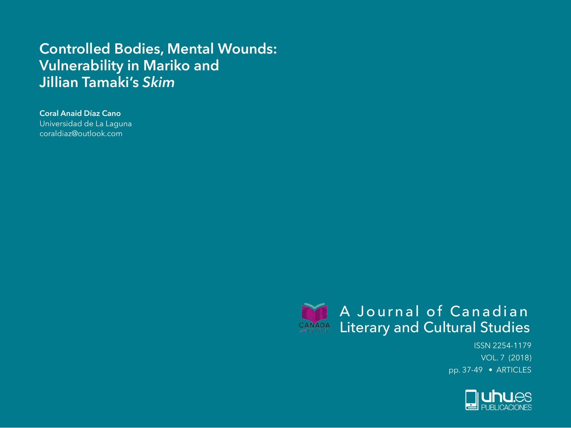# **Controlled Bodies, Mental Wounds: Vulnerability in Mariko and Jillian Tamaki's** *Skim*

## **Coral Anaid Díaz Cano**

Universidad de La Laguna coraldiaz@outlook.com



ISSN 2254-1179 VOL. 7 (2018) pp. 37-49 • ARTICLES

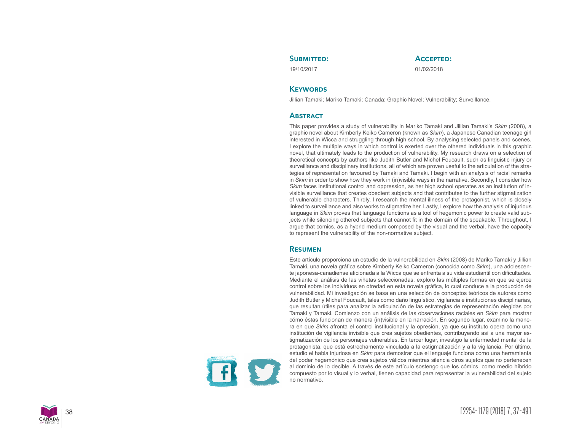## SUBMITTED:

19/10/2017

**Accepted:**

01/02/2018

## **KEYWORDS**

Jillian Tamaki; Mariko Tamaki; Canada; Graphic Novel; Vulnerability; Surveillance.

## **Abstract**

This paper provides a study of vulnerability in Mariko Tamaki and Jillian Tamaki's *Skim* (2008), a graphic novel about Kimberly Keiko Cameron (known as *Skim*), a Japanese Canadian teenage girl interested in Wicca and struggling through high school. By analysing selected panels and scenes, I explore the multiple ways in which control is exerted over the othered individuals in this graphic novel, that ultimately leads to the production of vulnerability. My research draws on a selection of theoretical concepts by authors like Judith Butler and Michel Foucault, such as linguistic injury or surveillance and disciplinary institutions, all of which are proven useful to the articulation of the stra tegies of representation favoured by Tamaki and Tamaki. I begin with an analysis of racial remarks in *Skim* in order to show how they work in (in)visible ways in the narrative. Secondly, I consider how *Skim* faces institutional control and oppression, as her high school operates as an institution of in visible surveillance that creates obedient subjects and that contributes to the further stigmatization of vulnerable characters. Thirdly, I research the mental illness of the protagonist, which is closely linked to surveillance and also works to stigmatize her. Lastly, I explore how the analysis of injurious language in *Skim* proves that language functions as a tool of hegemonic power to create valid sub jects while silencing othered subjects that cannot fit in the domain of the speakable. Throughout, I argue that comics, as a hybrid medium composed by the visual and the verbal, have the capacity to represent the vulnerability of the non-normative subject.

## **Resumen**

Este artículo proporciona un estudio de la vulnerabilidad en *Skim* (2008) de Mariko Tamaki y Jillian Tamaki, una novela gráfica sobre Kimberly Keiko Cameron (conocida como *Skim*), una adolescen te japonesa-canadiense aficionada a la Wicca que se enfrenta a su vida estudiantil con dificultades. Mediante el análisis de las viñetas seleccionadas, exploro las múltiples formas en que se ejerce control sobre los individuos en otredad en esta novela gráfica, lo cual conduce a la producción de vulnerabilidad. Mi investigación se basa en una selección de conceptos teóricos de autores como Judith Butler y Michel Foucault, tales como daño lingüístico, vigilancia e instituciones disciplinarias, que resultan útiles para analizar la articulación de las estrategias de representación elegidas por Tamaki y Tamaki. Comienzo con un análisis de las observaciones raciales en *Skim* para mostrar cómo éstas funcionan de manera (in)visible en la narración. En segundo lugar, examino la mane ra en que *Skim* afronta el control institucional y la opresión, ya que su instituto opera como una institución de vigilancia invisible que crea sujetos obedientes, contribuyendo así a una mayor es tigmatización de los personajes vulnerables. En tercer lugar, investigo la enfermedad mental de la protagonista, que está estrechamente vinculada a la estigmatización y a la vigilancia. Por último, estudio el habla injuriosa en *Skim* para demostrar que el lenguaje funciona como una herramienta del poder hegemónico que crea sujetos válidos mientras silencia otros sujetos que no pertenecen al dominio de lo decible. A través de este artículo sostengo que los cómics, como medio híbrido compuesto por lo visual y lo verbal, tienen capacidad para representar la vulnerabilidad del sujeto no normativo.

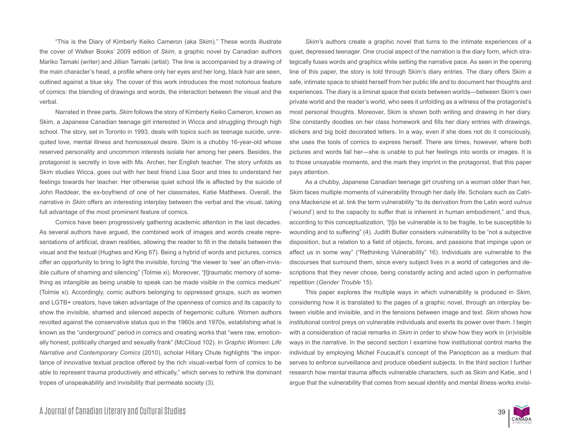"This is the Diary of Kimberly Keiko Cameron (aka Skim)." These words illustrate the cover of Walker Books' 2009 edition of *Skim*, a graphic novel by Canadian authors Mariko Tamaki (writer) and Jillian Tamaki (artist). The line is accompanied by a drawing of the main character's head, a profile where only her eyes and her long, black hair are seen, outlined against a blue sky. The cover of this work introduces the most notorious feature of comics: the blending of drawings and words, the interaction between the visual and the verbal.

Narrated in three parts, *Skim* follows the story of Kimberly Keiko Cameron, known as Skim, a Japanese Canadian teenage girl interested in Wicca and struggling through high school. The story, set in Toronto in 1993, deals with topics such as teenage suicide, unrequited love, mental illness and homosexual desire. Skim is a chubby 16-year-old whose reserved personality and uncommon interests isolate her among her peers. Besides, the protagonist is secretly in love with Ms. Archer, her English teacher. The story unfolds as Skim studies Wicca, goes out with her best friend Lisa Soor and tries to understand her feelings towards her teacher. Her otherwise quiet school life is affected by the suicide of John Reddear, the ex-boyfriend of one of her classmates, Katie Matthews. Overall, the narrative in *Skim* offers an interesting interplay between the verbal and the visual, taking full advantage of the most prominent feature of comics.

Comics have been progressively gathering academic attention in the last decades. As several authors have argued, the combined work of images and words create representations of artificial, drawn realities, allowing the reader to fill in the details between the visual and the textual (Hughes and King 67). Being a hybrid of words and pictures, comics offer an opportunity to bring to light the invisible, forcing "the viewer to 'see' an often-invisible culture of shaming and silencing" (Tolmie xi). Moreover, "[t]raumatic memory of something as intangible as being unable to speak can be made visible in the comics medium" (Tolmie xi). Accordingly, comic authors belonging to oppressed groups, such as women and LGTB+ creators, have taken advantage of the openness of comics and its capacity to show the invisible, shamed and silenced aspects of hegemonic culture. Women authors revolted against the conservative status quo in the 1960s and 1970s, establishing what is known as the "underground" period in comics and creating works that "were raw, emotionally honest, politically charged and sexually frank" (McCloud 102). In *Graphic Women: Life Narrative and Contemporary Comics* (2010), scholar Hillary Chute highlights "the importance of innovative textual practice offered by the rich visual-verbal form of comics to be able to represent trauma productively and ethically," which serves to rethink the dominant tropes of unspeakability and invisibility that permeate society (3).

*Skim'*s authors create a graphic novel that turns to the intimate experiences of a quiet, depressed teenager. One crucial aspect of the narration is the diary form, which strategically fuses words and graphics while setting the narrative pace. As seen in the opening line of this paper, the story is told through Skim's diary entries. The diary offers Skim a safe, intimate space to shield herself from her public life and to document her thoughts and experiences. The diary is a liminal space that exists between worlds—between Skim's own private world and the reader's world, who sees it unfolding as a witness of the protagonist's most personal thoughts. Moreover, Skim is shown both writing and drawing in her diary. She constantly doodles on her class homework and fills her diary entries with drawings, stickers and big bold decorated letters. In a way, even if she does not do it consciously, she uses the tools of comics to express herself. There are times, however, where both pictures and words fail her—she is unable to put her feelings into words or images. It is to those unsayable moments, and the mark they imprint in the protagonist, that this paper pays attention.

As a chubby, Japanese Canadian teenage girl crushing on a woman older than her, Skim faces multiple moments of vulnerability through her daily life. Scholars such as Catriona Mackenzie et al. link the term vulnerability "to its derivation from the Latin word *vulnus* ('wound') and to the capacity to suffer that is inherent in human embodiment," and thus, according to this conceptualization, "[t]o be vulnerable is to be fragile, to be susceptible to wounding and to suffering" (4). Judith Butler considers vulnerability to be "not a subjective disposition, but a relation to a field of objects, forces, and passions that impinge upon or affect us in some way" ("Rethinking Vulnerability" 16). Individuals are vulnerable to the discourses that surround them, since every subject lives in a world of categories and descriptions that they never chose, being constantly acting and acted upon in performative repetition (*Gender Trouble* 15).

This paper explores the multiple ways in which vulnerability is produced in *Skim*, considering how it is translated to the pages of a graphic novel, through an interplay between visible and invisible, and in the tensions between image and text. *Skim* shows how institutional control preys on vulnerable individuals and exerts its power over them. I begin with a consideration of racial remarks in *Skim* in order to show how they work in (in)visible ways in the narrative. In the second section I examine how institutional control marks the individual by employing Michel Foucault's concept of the Panopticon as a medium that serves to enforce surveillance and produce obedient subjects. In the third section I further research how mental trauma affects vulnerable characters, such as Skim and Katie, and I argue that the vulnerability that comes from sexual identity and mental illness works invisi-

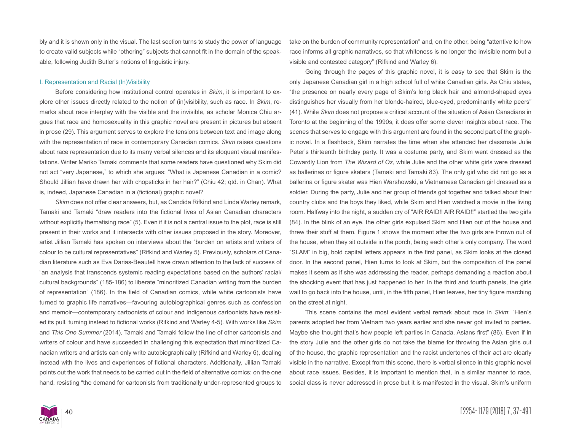bly and it is shown only in the visual. The last section turns to study the power of language to create valid subjects while "othering" subjects that cannot fit in the domain of the speakable, following Judith Butler's notions of linguistic injury.

#### I. Representation and Racial (In)Visibility

Before considering how institutional control operates in *Skim*, it is important to explore other issues directly related to the notion of (in)visibility, such as race. In *Skim*, remarks about race interplay with the visible and the invisible, as scholar Monica Chiu argues that race and homosexuality in this graphic novel are present in pictures but absent in prose (29). This argument serves to explore the tensions between text and image along with the representation of race in contemporary Canadian comics. *Skim* raises questions about race representation due to its many verbal silences and its eloquent visual manifestations. Writer Mariko Tamaki comments that some readers have questioned why Skim did not act "very Japanese," to which she argues: "What is Japanese Canadian in a comic? Should Jillian have drawn her with chopsticks in her hair?" (Chiu 42; qtd. in Chan). What is, indeed, Japanese Canadian in a (fictional) graphic novel?

*Skim* does not offer clear answers, but, as Candida Rifkind and Linda Warley remark, Tamaki and Tamaki "draw readers into the fictional lives of Asian Canadian characters without explicitly thematising race" (5). Even if it is not a central issue to the plot, race is still present in their works and it intersects with other issues proposed in the story. Moreover, artist Jillian Tamaki has spoken on interviews about the "burden on artists and writers of colour to be cultural representatives" (Rifkind and Warley 5). Previously, scholars of Canadian literature such as Eva Darias-Beautell have drawn attention to the lack of success of "an analysis that transcends systemic reading expectations based on the authors' racial/ cultural backgrounds" (185-186) to liberate "minoritized Canadian writing from the burden of representation" (186). In the field of Canadian comics, while white cartoonists have turned to graphic life narratives—favouring autobiographical genres such as confession and memoir—contemporary cartoonists of colour and Indigenous cartoonists have resisted its pull, turning instead to fictional works (Rifkind and Warley 4-5). With works like *Skim* and *This One Summer* (2014), Tamaki and Tamaki follow the line of other cartoonists and writers of colour and have succeeded in challenging this expectation that minoritized Canadian writers and artists can only write autobiographically (Rifkind and Warley 6), dealing instead with the lives and experiences of fictional characters. Additionally, Jillian Tamaki points out the work that needs to be carried out in the field of alternative comics: on the one hand, resisting "the demand for cartoonists from traditionally under-represented groups to take on the burden of community representation" and, on the other, being "attentive to how race informs all graphic narratives, so that whiteness is no longer the invisible norm but a visible and contested category" (Rifkind and Warley 6).

Going through the pages of this graphic novel, it is easy to see that Skim is the only Japanese Canadian girl in a high school full of white Canadian girls. As Chiu states, "the presence on nearly every page of Skim's long black hair and almond-shaped eyes distinguishes her visually from her blonde-haired, blue-eyed, predominantly white peers" (41). While *Skim* does not propose a critical account of the situation of Asian Canadians in Toronto at the beginning of the 1990s, it does offer some clever insights about race. The scenes that serves to engage with this argument are found in the second part of the graphic novel. In a flashback, Skim narrates the time when she attended her classmate Julie Peter's thirteenth birthday party. It was a costume party, and Skim went dressed as the Cowardly Lion from *The Wizard of Oz*, while Julie and the other white girls were dressed as ballerinas or figure skaters (Tamaki and Tamaki 83). The only girl who did not go as a ballerina or figure skater was Hien Warshowski, a Vietnamese Canadian girl dressed as a soldier. During the party, Julie and her group of friends got together and talked about their country clubs and the boys they liked, while Skim and Hien watched a movie in the living room. Halfway into the night, a sudden cry of "AIR RAID!! AIR RAID!!" startled the two girls (84). In the blink of an eye, the other girls expulsed Skim and Hien out of the house and threw their stuff at them. Figure 1 shows the moment after the two girls are thrown out of the house, when they sit outside in the porch, being each other's only company. The word "SLAM" in big, bold capital letters appears in the first panel, as Skim looks at the closed door. In the second panel, Hien turns to look at Skim, but the composition of the panel makes it seem as if she was addressing the reader, perhaps demanding a reaction about the shocking event that has just happened to her. In the third and fourth panels, the girls wait to go back into the house, until, in the fifth panel, Hien leaves, her tiny figure marching on the street at night.

This scene contains the most evident verbal remark about race in *Skim*: "Hien's parents adopted her from Vietnam two years earlier and she never got invited to parties. Maybe she thought that's how people left parties in Canada. Asians first" (86). Even if in the story Julie and the other girls do not take the blame for throwing the Asian girls out of the house, the graphic representation and the racist undertones of their act are clearly visible in the narrative. Except from this scene, there is verbal silence in this graphic novel about race issues. Besides, it is important to mention that, in a similar manner to race, social class is never addressed in prose but it is manifested in the visual. Skim's uniform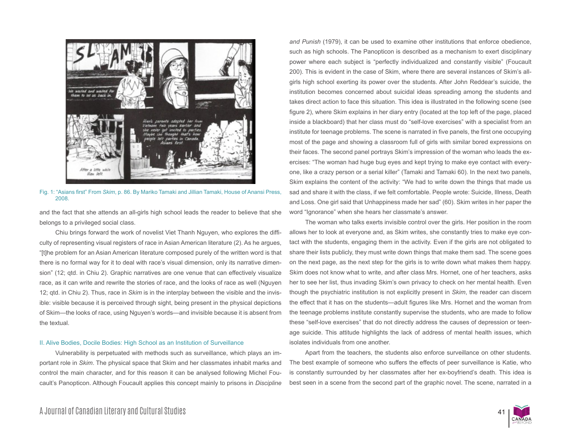

Fig. 1: "Asians first" From *Skim*, p. 86. By Mariko Tamaki and Jillian Tamaki, House of Anansi Press, 2008.

and the fact that she attends an all-girls high school leads the reader to believe that she belongs to a privileged social class.

Chiu brings forward the work of novelist Viet Thanh Nguyen, who explores the difficulty of representing visual registers of race in Asian American literature (2). As he argues, "[t]he problem for an Asian American literature composed purely of the written word is that there is no formal way for it to deal with race's visual dimension, only its narrative dimension" (12; qtd. in Chiu 2). Graphic narratives are one venue that can effectively visualize race, as it can write and rewrite the stories of race, and the looks of race as well (Nguyen 12; qtd. in Chiu 2). Thus, race in *Skim* is in the interplay between the visible and the invisible: visible because it is perceived through sight, being present in the physical depictions of Skim—the looks of race, using Nguyen's words—and invisible because it is absent from the textual.

#### II. Alive Bodies, Docile Bodies: High School as an Institution of Surveillance

Vulnerability is perpetuated with methods such as surveillance, which plays an important role in *Skim*. The physical space that Skim and her classmates inhabit marks and control the main character, and for this reason it can be analysed following Michel Foucault's Panopticon. Although Foucault applies this concept mainly to prisons in *Discipline* 

*and Punish* (1979), it can be used to examine other institutions that enforce obedience, such as high schools. The Panopticon is described as a mechanism to exert disciplinary power where each subject is "perfectly individualized and constantly visible" (Foucault 200). This is evident in the case of Skim, where there are several instances of Skim's allgirls high school exerting its power over the students. After John Reddear's suicide, the institution becomes concerned about suicidal ideas spreading among the students and takes direct action to face this situation. This idea is illustrated in the following scene (see figure 2), where Skim explains in her diary entry (located at the top left of the page, placed inside a blackboard) that her class must do "self-love exercises" with a specialist from an institute for teenage problems. The scene is narrated in five panels, the first one occupying most of the page and showing a classroom full of girls with similar bored expressions on their faces. The second panel portrays Skim's impression of the woman who leads the exercises: "The woman had huge bug eyes and kept trying to make eye contact with everyone, like a crazy person or a serial killer" (Tamaki and Tamaki 60). In the next two panels, Skim explains the content of the activity: "We had to write down the things that made us sad and share it with the class, if we felt comfortable. People wrote: Suicide, Illness, Death and Loss. One girl said that Unhappiness made her sad" (60). Skim writes in her paper the word "Ignorance" when she hears her classmate's answer.

The woman who talks exerts invisible control over the girls. Her position in the room allows her to look at everyone and, as Skim writes, she constantly tries to make eye contact with the students, engaging them in the activity. Even if the girls are not obligated to share their lists publicly, they must write down things that make them sad. The scene goes on the next page, as the next step for the girls is to write down what makes them happy. Skim does not know what to write, and after class Mrs. Hornet, one of her teachers, asks her to see her list, thus invading Skim's own privacy to check on her mental health. Even though the psychiatric institution is not explicitly present in *Skim*, the reader can discern the effect that it has on the students—adult figures like Mrs. Hornet and the woman from the teenage problems institute constantly supervise the students, who are made to follow these "self-love exercises" that do not directly address the causes of depression or teenage suicide. This attitude highlights the lack of address of mental health issues, which isolates individuals from one another.

Apart from the teachers, the students also enforce surveillance on other students. The best example of someone who suffers the effects of peer surveillance is Katie, who is constantly surrounded by her classmates after her ex-boyfriend's death. This idea is best seen in a scene from the second part of the graphic novel. The scene, narrated in a

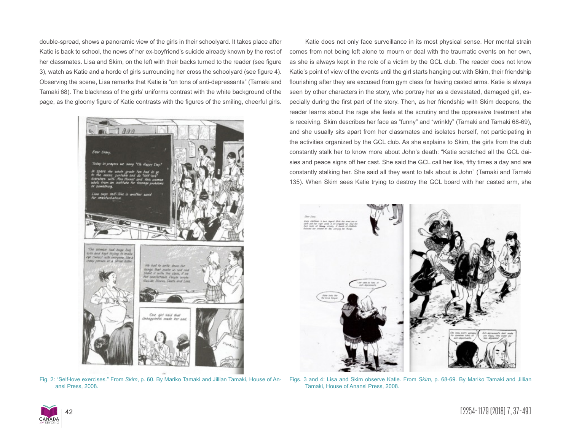double-spread, shows a panoramic view of the girls in their schoolyard. It takes place after Katie is back to school, the news of her ex-boyfriend's suicide already known by the rest of her classmates. Lisa and Skim, on the left with their backs turned to the reader (see figure 3), watch as Katie and a horde of girls surrounding her cross the schoolyard (see figure 4). Observing the scene, Lisa remarks that Katie is "on tons of anti-depressants" (Tamaki and Tamaki 68). The blackness of the girls' uniforms contrast with the white background of the page, as the gloomy figure of Katie contrasts with the figures of the smiling, cheerful girls.



Fig. 2: "Self-love exercises." From *Skim*, p. 60. By Mariko Tamaki and Jillian Tamaki, House of Anansi Press, 2008.

Katie does not only face surveillance in its most physical sense. Her mental strain comes from not being left alone to mourn or deal with the traumatic events on her own, as she is always kept in the role of a victim by the GCL club. The reader does not know Katie's point of view of the events until the girl starts hanging out with Skim, their friendship flourishing after they are excused from gym class for having casted arms. Katie is always seen by other characters in the story, who portray her as a devastated, damaged girl, especially during the first part of the story. Then, as her friendship with Skim deepens, the reader learns about the rage she feels at the scrutiny and the oppressive treatment she is receiving. Skim describes her face as "funny" and "wrinkly" (Tamaki and Tamaki 68-69), and she usually sits apart from her classmates and isolates herself, not participating in the activities organized by the GCL club. As she explains to Skim, the girls from the club constantly stalk her to know more about John's death: "Katie scratched all the GCL daisies and peace signs off her cast. She said the GCL call her like, fifty times a day and are constantly stalking her. She said all they want to talk about is John" (Tamaki and Tamaki 135). When Skim sees Katie trying to destroy the GCL board with her casted arm, she



Figs. 3 and 4: Lisa and Skim observe Katie. From *Skim*, p. 68-69. By Mariko Tamaki and Jillian Tamaki, House of Anansi Press, 2008.

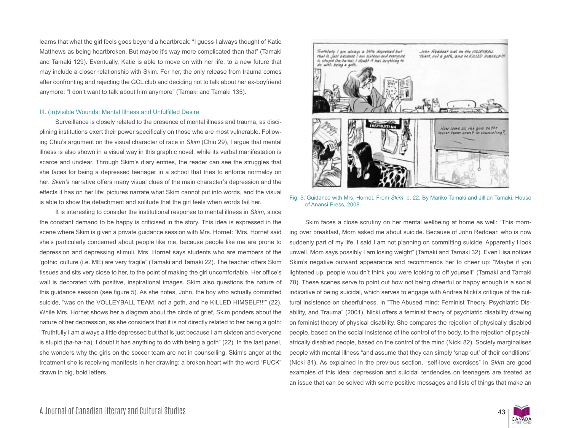learns that what the girl feels goes beyond a heartbreak: "I guess I always thought of Katie Matthews as being heartbroken. But maybe it's way more complicated than that" (Tamaki and Tamaki 129). Eventually, Katie is able to move on with her life, to a new future that may include a closer relationship with Skim. For her, the only release from trauma comes after confronting and rejecting the GCL club and deciding not to talk about her ex-boyfriend anymore: "I don't want to talk about him anymore" (Tamaki and Tamaki 135).

#### III. (In)visible Wounds: Mental Illness and Unfulfilled Desire

Surveillance is closely related to the presence of mental illness and trauma, as disciplining institutions exert their power specifically on those who are most vulnerable. Following Chiu's argument on the visual character of race in *Skim* (Chiu 29), I argue that mental illness is also shown in a visual way in this graphic novel, while its verbal manifestation is scarce and unclear. Through Skim's diary entries, the reader can see the struggles that she faces for being a depressed teenager in a school that tries to enforce normalcy on her. *Skim'*s narrative offers many visual clues of the main character's depression and the effects it has on her life: pictures narrate what Skim cannot put into words, and the visual is able to show the detachment and solitude that the girl feels when words fail her.

It is interesting to consider the institutional response to mental illness in *Skim,* since the constant demand to be happy is criticised in the story. This idea is expressed in the scene where Skim is given a private guidance session with Mrs. Hornet: "Mrs. Hornet said she's particularly concerned about people like me, because people like me are prone to depression and depressing stimuli. Mrs. Hornet says students who are members of the 'gothic' culture (i.e. ME) are very fragile" (Tamaki and Tamaki 22). The teacher offers Skim tissues and sits very close to her, to the point of making the girl uncomfortable. Her office's wall is decorated with positive, inspirational images. Skim also questions the nature of this guidance session (see figure 5). As she notes, John, the boy who actually committed suicide, "was on the VOLLEYBALL TEAM, not a goth, and he KILLED HIMSELF!!!" (22). While Mrs. Hornet shows her a diagram about the circle of grief, Skim ponders about the nature of her depression, as she considers that it is not directly related to her being a goth: "Truthfully I am always a little depressed but that is just because I am sixteen and everyone is stupid (ha-ha-ha). I doubt it has anything to do with being a goth" (22). In the last panel, she wonders why the girls on the soccer team are not in counselling. Skim's anger at the treatment she is receiving manifests in her drawing: a broken heart with the word "FUCK" drawn in big, bold letters.



Fig. 5: Guidance with Mrs. Hornet. From *Skim*, p. 22. By Mariko Tamaki and Jillian Tamaki, House of Anansi Press, 2008.

Skim faces a close scrutiny on her mental wellbeing at home as well: "This morning over breakfast, Mom asked me about suicide. Because of John Reddear, who is now suddenly part of my life. I said I am not planning on committing suicide. Apparently I look unwell. Mom says possibly I am losing weight" (Tamaki and Tamaki 32). Even Lisa notices Skim's negative outward appearance and recommends her to cheer up: "Maybe if you lightened up, people wouldn't think you were looking to off yourself" (Tamaki and Tamaki 78). These scenes serve to point out how not being cheerful or happy enough is a social indicative of being suicidal, which serves to engage with Andrea Nicki's critique of the cultural insistence on cheerfulness. In "The Abused mind: Feminist Theory, Psychiatric Disability, and Trauma" (2001), Nicki offers a feminist theory of psychiatric disability drawing on feminist theory of physical disability. She compares the rejection of physically disabled people, based on the social insistence of the control of the body, to the rejection of psychiatrically disabled people, based on the control of the mind (Nicki 82). Society marginalises people with mental illness "and assume that they can simply 'snap out' of their conditions" (Nicki 81). As explained in the previous section, "self-love exercises" in *Skim* are good examples of this idea: depression and suicidal tendencies on teenagers are treated as an issue that can be solved with some positive messages and lists of things that make an

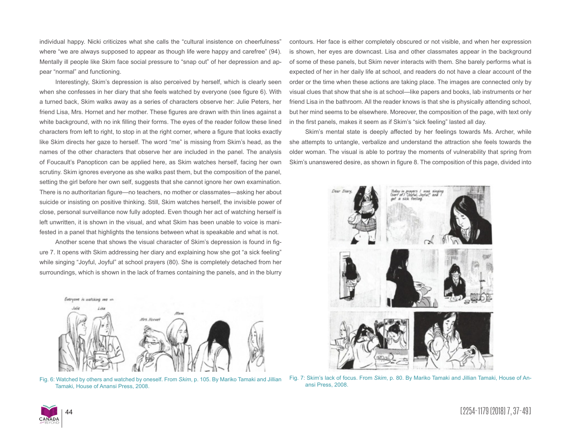individual happy. Nicki criticizes what she calls the "cultural insistence on cheerfulness" where "we are always supposed to appear as though life were happy and carefree" (94). Mentally ill people like Skim face social pressure to "snap out" of her depression and appear "normal" and functioning.

Interestingly, Skim's depression is also perceived by herself, which is clearly seen when she confesses in her diary that she feels watched by everyone (see figure 6). With a turned back, Skim walks away as a series of characters observe her: Julie Peters, her friend Lisa, Mrs. Hornet and her mother. These figures are drawn with thin lines against a white background, with no ink filling their forms. The eyes of the reader follow these lined characters from left to right, to stop in at the right corner, where a figure that looks exactly like Skim directs her gaze to herself. The word "me" is missing from Skim's head, as the names of the other characters that observe her are included in the panel. The analysis of Foucault's Panopticon can be applied here, as Skim watches herself, facing her own scrutiny. Skim ignores everyone as she walks past them, but the composition of the panel, setting the girl before her own self, suggests that she cannot ignore her own examination. There is no authoritarian figure—no teachers, no mother or classmates—asking her about suicide or insisting on positive thinking. Still, Skim watches herself, the invisible power of close, personal surveillance now fully adopted. Even though her act of watching herself is left unwritten, it is shown in the visual, and what Skim has been unable to voice is manifested in a panel that highlights the tensions between what is speakable and what is not.

Another scene that shows the visual character of Skim's depression is found in figure 7. It opens with Skim addressing her diary and explaining how she got "a sick feeling" while singing "Joyful, Joyful" at school prayers (80). She is completely detached from her surroundings, which is shown in the lack of frames containing the panels, and in the blurry



Fig. 6: Watched by others and watched by oneself. From *Skim*, p. 105. By Mariko Tamaki and Jillian Tamaki, House of Anansi Press, 2008.

contours. Her face is either completely obscured or not visible, and when her expression is shown, her eyes are downcast. Lisa and other classmates appear in the background of some of these panels, but Skim never interacts with them. She barely performs what is expected of her in her daily life at school, and readers do not have a clear account of the order or the time when these actions are taking place. The images are connected only by visual clues that show that she is at school—like papers and books, lab instruments or her friend Lisa in the bathroom. All the reader knows is that she is physically attending school, but her mind seems to be elsewhere. Moreover, the composition of the page, with text only in the first panels, makes it seem as if Skim's "sick feeling" lasted all day.

Skim's mental state is deeply affected by her feelings towards Ms. Archer, while she attempts to untangle, verbalize and understand the attraction she feels towards the older woman. The visual is able to portray the moments of vulnerability that spring from Skim's unanswered desire, as shown in figure 8. The composition of this page, divided into



Fig. 7: Skim's lack of focus. From *Skim*, p. 80. By Mariko Tamaki and Jillian Tamaki, House of Anansi Press, 2008.

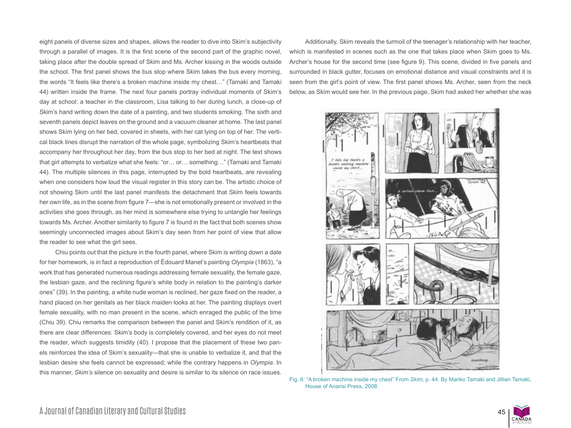eight panels of diverse sizes and shapes, allows the reader to dive into Skim's subjectivity through a parallel of images. It is the first scene of the second part of the graphic novel, taking place after the double spread of Skim and Ms. Archer kissing in the woods outside the school. The first panel shows the bus stop where Skim takes the bus every morning, the words "It feels like there's a broken machine inside my chest…" (Tamaki and Tamaki 44) written inside the frame. The next four panels portray individual moments of Skim's day at school: a teacher in the classroom, Lisa talking to her during lunch, a close-up of Skim's hand writing down the date of a painting, and two students smoking. The sixth and seventh panels depict leaves on the ground and a vacuum cleaner at home. The last panel shows Skim lying on her bed, covered in sheets, with her cat lying on top of her. The vertical black lines disrupt the narration of the whole page, symbolizing Skim's heartbeats that accompany her throughout her day, from the bus stop to her bed at night. The text shows that girl attempts to verbalize what she feels: "or… or… something…" (Tamaki and Tamaki 44). The multiple silences in this page, interrupted by the bold heartbeats, are revealing when one considers how loud the visual register in this story can be. The artistic choice of not showing Skim until the last panel manifests the detachment that Skim feels towards her own life, as in the scene from figure 7—she is not emotionally present or involved in the activities she goes through, as her mind is somewhere else trying to untangle her feelings towards Ms. Archer. Another similarity to figure 7 is found in the fact that both scenes show seemingly unconnected images about Skim's day seen from her point of view that allow the reader to see what the girl sees.

Chiu points out that the picture in the fourth panel, where Skim is writing down a date for her homework, is in fact a reproduction of Édouard Manet's painting *Olympia* (1863), "a work that has generated numerous readings addressing female sexuality, the female gaze, the lesbian gaze, and the reclining figure's white body in relation to the painting's darker ones" (39). In the painting, a white nude woman is reclined, her gaze fixed on the reader, a hand placed on her genitals as her black maiden looks at her. The painting displays overt female sexuality, with no man present in the scene, which enraged the public of the time (Chiu 39). Chiu remarks the comparison between the panel and Skim's rendition of it, as there are clear differences: Skim's body is completely covered, and her eyes do not meet the reader, which suggests timidity (40). I propose that the placement of these two panels reinforces the idea of Skim's sexuality—that she is unable to verbalize it, and that the lesbian desire she feels cannot be expressed; while the contrary happens in *Olympia*. In this manner, *Skim's* silence on sexuality and desire is similar to its silence on race issues.

Additionally, Skim reveals the turmoil of the teenager's relationship with her teacher, which is manifested in scenes such as the one that takes place when Skim goes to Ms. Archer's house for the second time (see figure 9). This scene, divided in five panels and surrounded in black gutter, focuses on emotional distance and visual constraints and it is seen from the girl's point of view. The first panel shows Ms. Archer, seen from the neck below, as Skim would see her. In the previous page, Skim had asked her whether she was



Fig. 8: "A broken machine inside my chest" From *Skim*, p. 44. By Mariko Tamaki and Jillian Tamaki, House of Anansi Press, 2008.

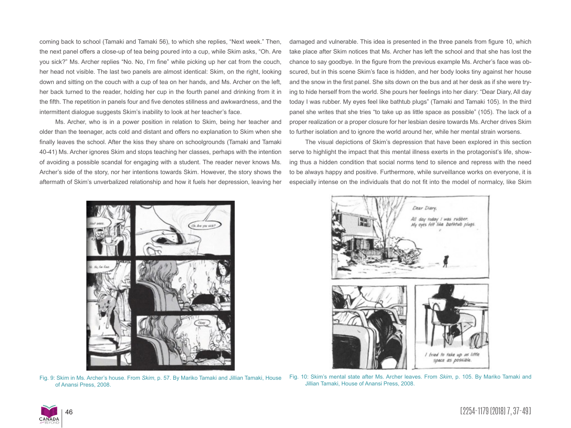coming back to school (Tamaki and Tamaki 56), to which she replies, "Next week." Then, the next panel offers a close-up of tea being poured into a cup, while Skim asks, "Oh. Are you sick?" Ms. Archer replies "No. No, I'm fine" while picking up her cat from the couch, her head not visible. The last two panels are almost identical: Skim, on the right, looking down and sitting on the couch with a cup of tea on her hands, and Ms. Archer on the left, her back turned to the reader, holding her cup in the fourth panel and drinking from it in the fifth. The repetition in panels four and five denotes stillness and awkwardness, and the intermittent dialogue suggests Skim's inability to look at her teacher's face.

Ms. Archer, who is in a power position in relation to Skim, being her teacher and older than the teenager, acts cold and distant and offers no explanation to Skim when she finally leaves the school. After the kiss they share on schoolgrounds (Tamaki and Tamaki 40-41) Ms. Archer ignores Skim and stops teaching her classes, perhaps with the intention of avoiding a possible scandal for engaging with a student. The reader never knows Ms. Archer's side of the story, nor her intentions towards Skim. However, the story shows the aftermath of Skim's unverbalized relationship and how it fuels her depression, leaving her damaged and vulnerable. This idea is presented in the three panels from figure 10, which take place after Skim notices that Ms. Archer has left the school and that she has lost the chance to say goodbye. In the figure from the previous example Ms. Archer's face was obscured, but in this scene Skim's face is hidden, and her body looks tiny against her house and the snow in the first panel. She sits down on the bus and at her desk as if she were trying to hide herself from the world. She pours her feelings into her diary: "Dear Diary, All day today I was rubber. My eyes feel like bathtub plugs" (Tamaki and Tamaki 105). In the third panel she writes that she tries "to take up as little space as possible" (105). The lack of a proper realization or a proper closure for her lesbian desire towards Ms. Archer drives Skim to further isolation and to ignore the world around her, while her mental strain worsens.

The visual depictions of Skim's depression that have been explored in this section serve to highlight the impact that this mental illness exerts in the protagonist's life, showing thus a hidden condition that social norms tend to silence and repress with the need to be always happy and positive. Furthermore, while surveillance works on everyone, it is especially intense on the individuals that do not fit into the model of normalcy, like Skim



Fig. 9: Skim in Ms. Archer's house. From *Skim*, p. 57. By Mariko Tamaki and Jillian Tamaki, House of Anansi Press, 2008.



Fig. 10: Skim's mental state after Ms. Archer leaves. From *Skim*, p. 105. By Mariko Tamaki and Jillian Tamaki, House of Anansi Press, 2008.

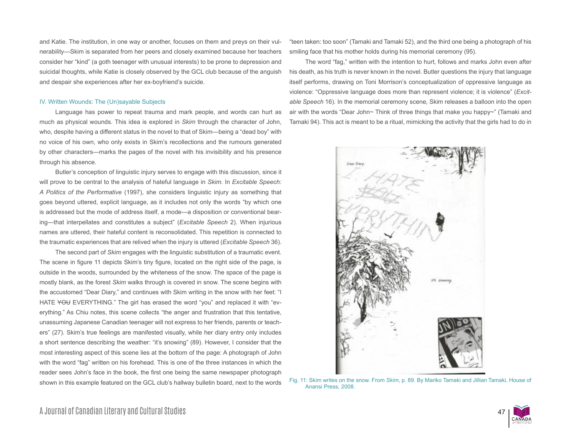and Katie. The institution, in one way or another, focuses on them and preys on their vulnerability—Skim is separated from her peers and closely examined because her teachers consider her "kind" (a goth teenager with unusual interests) to be prone to depression and suicidal thoughts, while Katie is closely observed by the GCL club because of the anguish and despair she experiences after her ex-boyfriend's suicide.

#### IV. Written Wounds: The (Un)sayable Subjects

Language has power to repeat trauma and mark people, and words can hurt as much as physical wounds. This idea is explored in *Skim* through the character of John, who, despite having a different status in the novel to that of Skim—being a "dead boy" with no voice of his own, who only exists in Skim's recollections and the rumours generated by other characters—marks the pages of the novel with his invisibility and his presence through his absence.

Butler's conception of linguistic injury serves to engage with this discussion, since it will prove to be central to the analysis of hateful language in *Skim.* In *Excitable Speech: A Politics of the Performative* (1997), she considers linguistic injury as something that goes beyond uttered, explicit language, as it includes not only the words "by which one is addressed but the mode of address itself, a mode—a disposition or conventional bearing—that interpellates and constitutes a subject" (*Excitable Speech* 2). When injurious names are uttered, their hateful content is reconsolidated. This repetition is connected to the traumatic experiences that are relived when the injury is uttered (*Excitable Speech* 36).

The second part of *Skim* engages with the linguistic substitution of a traumatic event. The scene in figure 11 depicts Skim's tiny figure, located on the right side of the page, is outside in the woods, surrounded by the whiteness of the snow. The space of the page is mostly blank, as the forest *Skim* walks through is covered in snow. The scene begins with the accustomed "Dear Diary," and continues with Skim writing in the snow with her feet: "I HATE YOU EVERYTHING." The girl has erased the word "you" and replaced it with "everything." As Chiu notes, this scene collects "the anger and frustration that this tentative, unassuming Japanese Canadian teenager will not express to her friends, parents or teachers" (27). Skim's true feelings are manifested visually, while her diary entry only includes a short sentence describing the weather: "it's snowing" (89). However, I consider that the most interesting aspect of this scene lies at the bottom of the page: A photograph of John with the word "fag" written on his forehead. This is one of the three instances in which the reader sees John's face in the book, the first one being the same newspaper photograph shown in this example featured on the GCL club's hallway bulletin board, next to the words "teen taken: too soon" (Tamaki and Tamaki 52), and the third one being a photograph of his smiling face that his mother holds during his memorial ceremony (95).

The word "fag," written with the intention to hurt, follows and marks John even after his death, as his truth is never known in the novel. Butler questions the injury that language itself performs, drawing on Toni Morrison's conceptualization of oppressive language as violence: "Oppressive language does more than represent violence; it is violence" (*Excitable Speech* 16). In the memorial ceremony scene, Skim releases a balloon into the open air with the words "Dear John~ Think of three things that make you happy~" (Tamaki and Tamaki 94). This act is meant to be a ritual, mimicking the activity that the girls had to do in



Fig. 11: Skim writes on the snow. From *Skim*, p. 89. By Mariko Tamaki and Jillian Tamaki, House of Anansi Press, 2008.

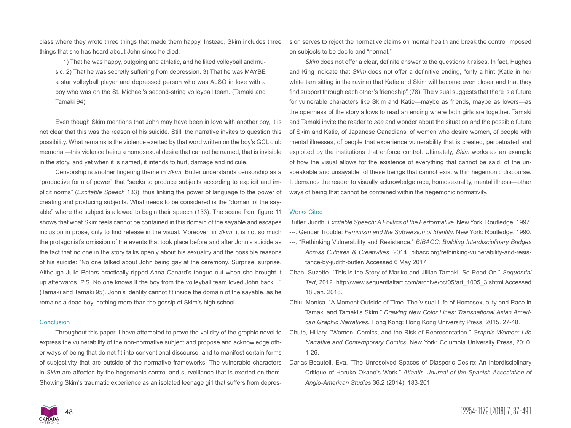class where they wrote three things that made them happy. Instead, Skim includes three things that she has heard about John since he died:

1) That he was happy, outgoing and athletic, and he liked volleyball and music. 2) That he was secretly suffering from depression. 3) That he was MAYBE a star volleyball player and depressed person who was ALSO in love with a boy who was on the St. Michael's second-string volleyball team. (Tamaki and Tamaki 94)

Even though Skim mentions that John may have been in love with another boy, it is not clear that this was the reason of his suicide. Still, the narrative invites to question this possibility. What remains is the violence exerted by that word written on the boy's GCL club memorial—this violence being a homosexual desire that cannot be named, that is invisible in the story, and yet when it is named, it intends to hurt, damage and ridicule.

Censorship is another lingering theme in *Skim*. Butler understands censorship as a "productive form of power" that "seeks to produce subjects according to explicit and implicit norms" (*Excitable Speech* 133), thus linking the power of language to the power of creating and producing subjects. What needs to be considered is the "domain of the sayable" where the subject is allowed to begin their speech (133). The scene from figure 11 shows that what Skim feels cannot be contained in this domain of the sayable and escapes inclusion in prose, only to find release in the visual. Moreover, in *Skim*, it is not so much the protagonist's omission of the events that took place before and after John's suicide as the fact that no one in the story talks openly about his sexuality and the possible reasons of his suicide: "No one talked about John being gay at the ceremony. Surprise, surprise. Although Julie Peters practically ripped Anna Canard's tongue out when she brought it up afterwards. P.S. No one knows if the boy from the volleyball team loved John back…" (Tamaki and Tamaki 95). John's identity cannot fit inside the domain of the sayable, as he remains a dead boy, nothing more than the gossip of Skim's high school.

#### **Conclusion**

Throughout this paper, I have attempted to prove the validity of the graphic novel to express the vulnerability of the non-normative subject and propose and acknowledge other ways of being that do not fit into conventional discourse, and to manifest certain forms of subjectivity that are outside of the normative frameworks. The vulnerable characters in *Skim* are affected by the hegemonic control and surveillance that is exerted on them. Showing Skim's traumatic experience as an isolated teenage girl that suffers from depres-

sion serves to reject the normative claims on mental health and break the control imposed on subjects to be docile and "normal."

*Skim* does not offer a clear, definite answer to the questions it raises. In fact, Hughes and King indicate that *Skim* does not offer a definitive ending, "only a hint (Katie in her white tam sitting in the ravine) that Katie and Skim will become even closer and that they find support through each other's friendship" (78). The visual suggests that there is a future for vulnerable characters like Skim and Katie—maybe as friends, maybe as lovers—as the openness of the story allows to read an ending where both girls are together. Tamaki and Tamaki invite the reader to *see* and wonder about the situation and the possible future of Skim and Katie, of Japanese Canadians, of women who desire women, of people with mental illnesses, of people that experience vulnerability that is created, perpetuated and exploited by the institutions that enforce control. Ultimately, *Skim* works as an example of how the visual allows for the existence of everything that cannot be said, of the unspeakable and unsayable, of these beings that cannot exist within hegemonic discourse. It demands the reader to visually acknowledge race, homosexuality, mental illness—other ways of being that cannot be contained within the hegemonic normativity.

#### Works Cited

Butler, Judith. *Excitable Speech: A Politics of the Performative*. New York: Routledge, 1997.

- ---. Gender Trouble: *Feminism and the Subversion of Identity*. New York: Routledge, 1990.
- ---. "Rethinking Vulnerability and Resistance." *BIBACC: Building Interdisciplinary Bridges Across Cultures & Creativities*, 2014. bibacc.org/rethinking-vulnerability-and-resistance-by-judith-butler/ Accessed 6 May 2017.
- Chan, Suzette. "This is the Story of Mariko and Jillian Tamaki. So Read On." *Sequential Tart*, 2012. http://www.sequentialtart.com/archive/oct05/art\_1005\_3.shtml Accessed 18 Jan. 2018.
- Chiu, Monica. "A Moment Outside of Time. The Visual Life of Homosexuality and Race in Tamaki and Tamaki's Skim." *Drawing New Color Lines: Transnational Asian American Graphic Narratives*. Hong Kong: Hong Kong University Press, 2015. 27-48.
- Chute, Hillary. "Women, Comics, and the Risk of Representation." *Graphic Women: Life Narrative and Contemporary Comics*. New York: Columbia University Press, 2010. 1-26.
- Darias-Beautell, Eva. "The Unresolved Spaces of Diasporic Desire: An Interdisciplinary Critique of Haruko Okano's Work." *Atlantis. Journal of the Spanish Association of Anglo-American Studies* 36.2 (2014): 183-201.